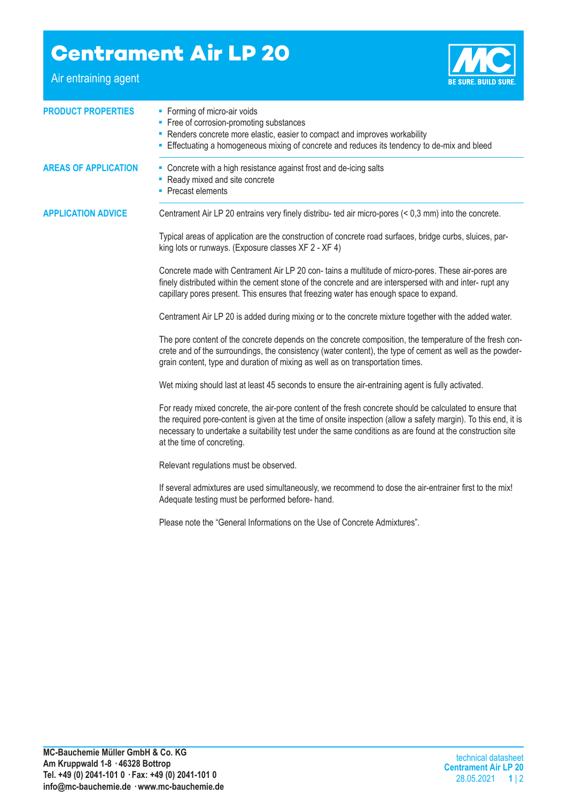## **Centrament Air LP 20**

Air entraining agent



| <b>PRODUCT PROPERTIES</b>   | • Forming of micro-air voids<br>• Free of corrosion-promoting substances<br>• Renders concrete more elastic, easier to compact and improves workability<br>- Effectuating a homogeneous mixing of concrete and reduces its tendency to de-mix and bleed                                                                                                                |  |  |
|-----------------------------|------------------------------------------------------------------------------------------------------------------------------------------------------------------------------------------------------------------------------------------------------------------------------------------------------------------------------------------------------------------------|--|--|
| <b>AREAS OF APPLICATION</b> | • Concrete with a high resistance against frost and de-icing salts<br>- Ready mixed and site concrete<br>Precast elements                                                                                                                                                                                                                                              |  |  |
| <b>APPLICATION ADVICE</b>   | Centrament Air LP 20 entrains very finely distribu- ted air micro-pores (< 0,3 mm) into the concrete.                                                                                                                                                                                                                                                                  |  |  |
|                             | Typical areas of application are the construction of concrete road surfaces, bridge curbs, sluices, par-<br>king lots or runways. (Exposure classes XF 2 - XF 4)                                                                                                                                                                                                       |  |  |
|                             | Concrete made with Centrament Air LP 20 con- tains a multitude of micro-pores. These air-pores are<br>finely distributed within the cement stone of the concrete and are interspersed with and inter- rupt any<br>capillary pores present. This ensures that freezing water has enough space to expand.                                                                |  |  |
|                             | Centrament Air LP 20 is added during mixing or to the concrete mixture together with the added water.                                                                                                                                                                                                                                                                  |  |  |
|                             | The pore content of the concrete depends on the concrete composition, the temperature of the fresh con-<br>crete and of the surroundings, the consistency (water content), the type of cement as well as the powder-<br>grain content, type and duration of mixing as well as on transportation times.                                                                 |  |  |
|                             | Wet mixing should last at least 45 seconds to ensure the air-entraining agent is fully activated.                                                                                                                                                                                                                                                                      |  |  |
|                             | For ready mixed concrete, the air-pore content of the fresh concrete should be calculated to ensure that<br>the required pore-content is given at the time of onsite inspection (allow a safety margin). To this end, it is<br>necessary to undertake a suitability test under the same conditions as are found at the construction site<br>at the time of concreting. |  |  |
|                             | Relevant regulations must be observed.                                                                                                                                                                                                                                                                                                                                 |  |  |
|                             | If several admixtures are used simultaneously, we recommend to dose the air-entrainer first to the mix!<br>Adequate testing must be performed before- hand.                                                                                                                                                                                                            |  |  |
|                             | Please note the "General Informations on the Use of Concrete Admixtures".                                                                                                                                                                                                                                                                                              |  |  |